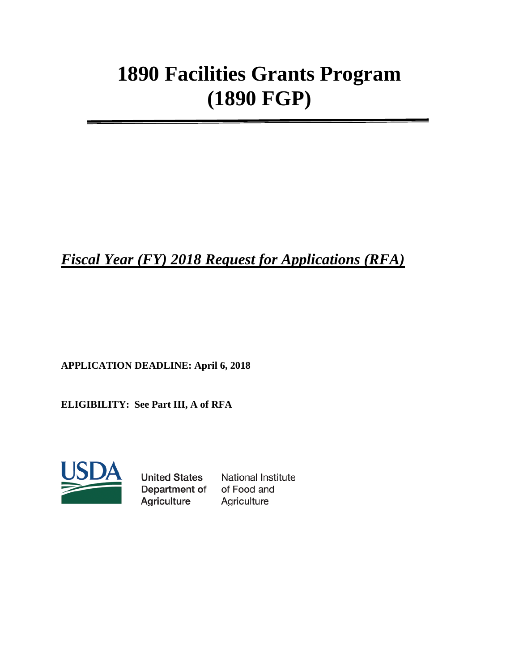# **1890 Facilities Grants Program (1890 FGP)**

*Fiscal Year (FY) 2018 Request for Applications (RFA)*

**APPLICATION DEADLINE: April 6, 2018**

**ELIGIBILITY: See Part III, A of RFA**



**United States** Department of Agriculture

**National Institute** of Food and Agriculture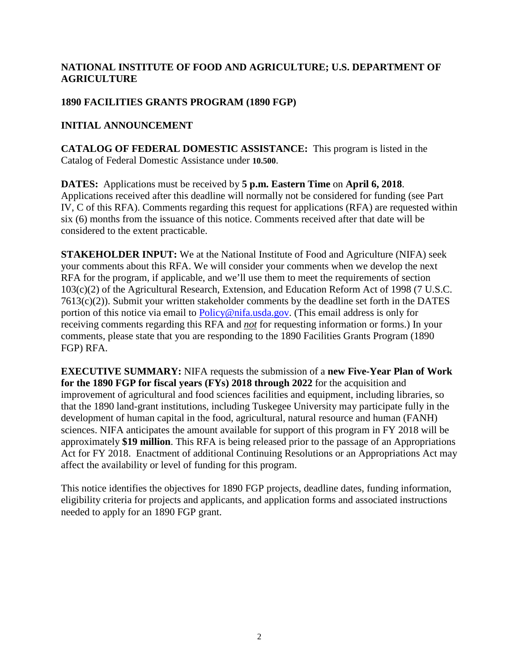# **NATIONAL INSTITUTE OF FOOD AND AGRICULTURE; U.S. DEPARTMENT OF AGRICULTURE**

# **1890 FACILITIES GRANTS PROGRAM (1890 FGP)**

# **INITIAL ANNOUNCEMENT**

**CATALOG OF FEDERAL DOMESTIC ASSISTANCE:** This program is listed in the Catalog of Federal Domestic Assistance under **10.500**.

**DATES:** Applications must be received by **5 p.m. Eastern Time** on **April 6, 2018**. Applications received after this deadline will normally not be considered for funding (see Part IV, C of this RFA). Comments regarding this request for applications (RFA) are requested within six (6) months from the issuance of this notice. Comments received after that date will be considered to the extent practicable.

**STAKEHOLDER INPUT:** We at the National Institute of Food and Agriculture (NIFA) seek your comments about this RFA. We will consider your comments when we develop the next RFA for the program, if applicable, and we'll use them to meet the requirements of section 103(c)(2) of the Agricultural Research, Extension, and Education Reform Act of 1998 (7 U.S.C. 7613(c)(2)). Submit your written stakeholder comments by the deadline set forth in the DATES portion of this notice via email to [Policy@nifa.usda.gov.](mailto:Policy@nifa.usda.gov) (This email address is only for receiving comments regarding this RFA and *not* for requesting information or forms.) In your comments, please state that you are responding to the 1890 Facilities Grants Program (1890 FGP) RFA.

**EXECUTIVE SUMMARY:** NIFA requests the submission of a **new Five-Year Plan of Work for the 1890 FGP for fiscal years (FYs) 2018 through 2022** for the acquisition and improvement of agricultural and food sciences facilities and equipment, including libraries, so that the 1890 land-grant institutions, including Tuskegee University may participate fully in the development of human capital in the food, agricultural, natural resource and human (FANH) sciences. NIFA anticipates the amount available for support of this program in FY 2018 will be approximately **\$19 million**. This RFA is being released prior to the passage of an Appropriations Act for FY 2018. Enactment of additional Continuing Resolutions or an Appropriations Act may affect the availability or level of funding for this program.

This notice identifies the objectives for 1890 FGP projects, deadline dates, funding information, eligibility criteria for projects and applicants, and application forms and associated instructions needed to apply for an 1890 FGP grant.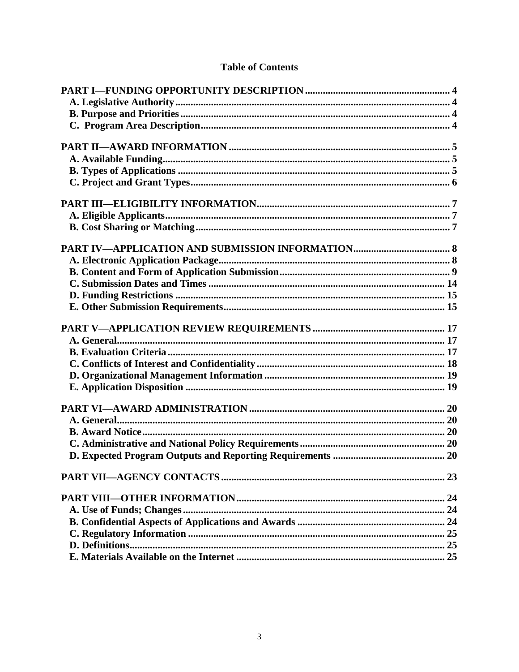# **Table of Contents**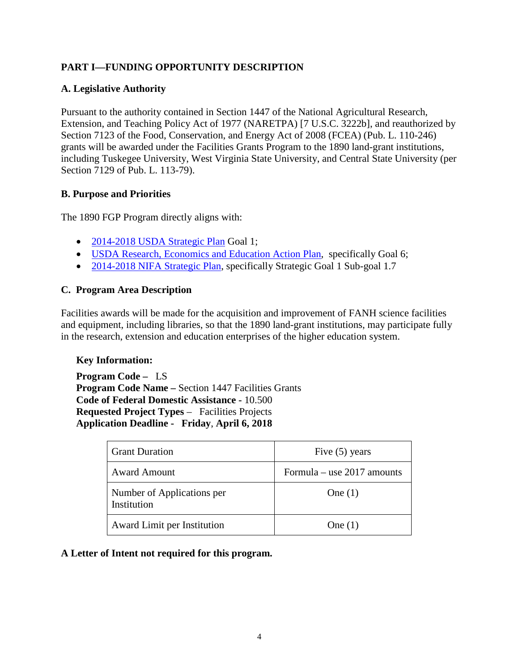# <span id="page-3-0"></span>**PART I—FUNDING OPPORTUNITY DESCRIPTION**

# <span id="page-3-1"></span>**A. Legislative Authority**

Pursuant to the authority contained in Section 1447 of the National Agricultural Research, Extension, and Teaching Policy Act of 1977 (NARETPA) [7 U.S.C. 3222b], and reauthorized by Section 7123 of the Food, Conservation, and Energy Act of 2008 (FCEA) (Pub. L. 110-246) grants will be awarded under the Facilities Grants Program to the 1890 land-grant institutions, including Tuskegee University, West Virginia State University, and Central State University (per Section 7129 of Pub. L. 113-79).

#### <span id="page-3-2"></span>**B. Purpose and Priorities**

The 1890 FGP Program directly aligns with:

- [2014-2018 USDA Strategic Plan](https://www.ocfo.usda.gov/usdasp/sp2014/usda-strategic-plan-fy-2014-2018.pdf) Goal 1;
- [USDA Research, Economics and Education Action Plan,](https://www.ree.usda.gov/sites/www.ree.usda.gov/files/2017-08/2016USDA_%20REEProgressReportR2.pdf) specifically Goal 6;
- [2014-2018 NIFA Strategic Plan,](https://nifa.usda.gov/sites/default/files/resource/NIFA%20Strategic%20Plan%20FY2014-FY2018.pdf) specifically Strategic Goal 1 Sub-goal 1.7

#### <span id="page-3-3"></span>**C. Program Area Description**

Facilities awards will be made for the acquisition and improvement of FANH science facilities and equipment, including libraries, so that the 1890 land-grant institutions, may participate fully in the research, extension and education enterprises of the higher education system.

#### **Key Information:**

**Program Code –** LS **Program Code Name –** Section 1447 Facilities Grants **Code of Federal Domestic Assistance -** 10.500 **Requested Project Types** – Facilities Projects **Application Deadline - Friday**, **April 6, 2018**

| <b>Grant Duration</b>                     | Five $(5)$ years             |
|-------------------------------------------|------------------------------|
| <b>Award Amount</b>                       | Formula – use $2017$ amounts |
| Number of Applications per<br>Institution | One $(1)$                    |
| Award Limit per Institution               | One $(1)$                    |

#### **A Letter of Intent not required for this program.**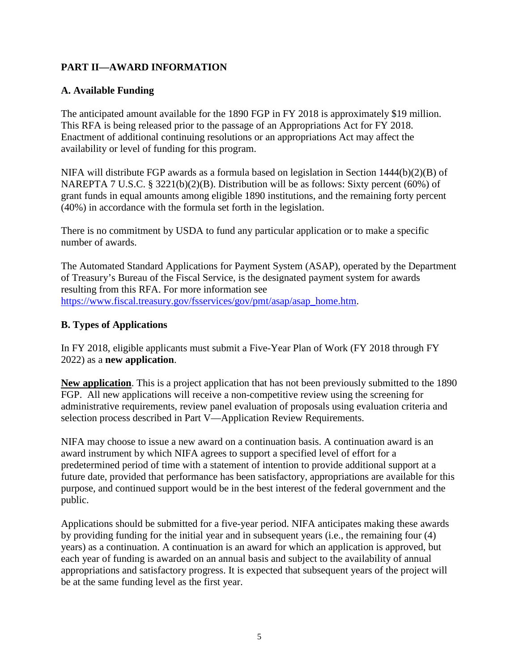# <span id="page-4-0"></span>**PART II—AWARD INFORMATION**

# <span id="page-4-1"></span>**A. Available Funding**

The anticipated amount available for the 1890 FGP in FY 2018 is approximately \$19 million. This RFA is being released prior to the passage of an Appropriations Act for FY 2018. Enactment of additional continuing resolutions or an appropriations Act may affect the availability or level of funding for this program.

NIFA will distribute FGP awards as a formula based on legislation in Section 1444(b)(2)(B) of NAREPTA 7 U.S.C. § 3221(b)(2)(B). Distribution will be as follows: Sixty percent (60%) of grant funds in equal amounts among eligible 1890 institutions, and the remaining forty percent (40%) in accordance with the formula set forth in the legislation.

There is no commitment by USDA to fund any particular application or to make a specific number of awards.

The Automated Standard Applications for Payment System (ASAP), operated by the Department of Treasury's Bureau of the Fiscal Service, is the designated payment system for awards resulting from this RFA. For more information see [https://www.fiscal.treasury.gov/fsservices/gov/pmt/asap/asap\\_home.htm.](https://www.fiscal.treasury.gov/fsservices/gov/pmt/asap/asap_home.htm)

# <span id="page-4-2"></span>**B. Types of Applications**

In FY 2018, eligible applicants must submit a Five-Year Plan of Work (FY 2018 through FY 2022) as a **new application**.

**New application**. This is a project application that has not been previously submitted to the 1890 FGP. All new applications will receive a non-competitive review using the screening for administrative requirements, review panel evaluation of proposals using evaluation criteria and selection process described in Part V—Application Review Requirements.

NIFA may choose to issue a new award on a continuation basis. A continuation award is an award instrument by which NIFA agrees to support a specified level of effort for a predetermined period of time with a statement of intention to provide additional support at a future date, provided that performance has been satisfactory, appropriations are available for this purpose, and continued support would be in the best interest of the federal government and the public.

Applications should be submitted for a five-year period. NIFA anticipates making these awards by providing funding for the initial year and in subsequent years (i.e., the remaining four (4) years) as a continuation. A continuation is an award for which an application is approved, but each year of funding is awarded on an annual basis and subject to the availability of annual appropriations and satisfactory progress. It is expected that subsequent years of the project will be at the same funding level as the first year.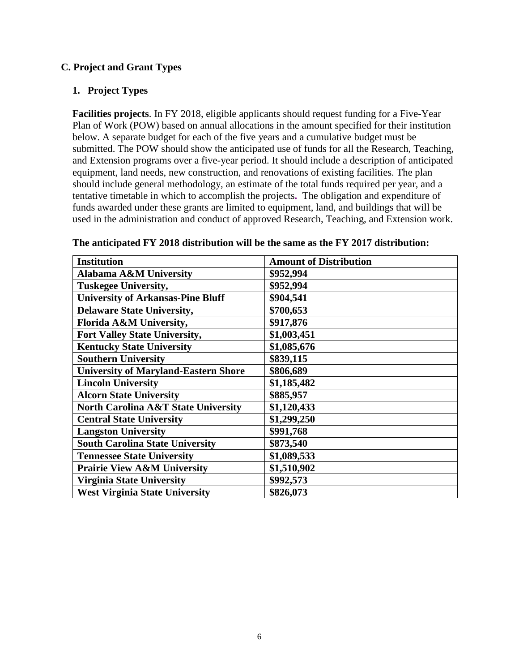## <span id="page-5-0"></span>**C. Project and Grant Types**

#### **1. Project Types**

**Facilities projects**. In FY 2018, eligible applicants should request funding for a Five-Year Plan of Work (POW) based on annual allocations in the amount specified for their institution below. A separate budget for each of the five years and a cumulative budget must be submitted. The POW should show the anticipated use of funds for all the Research, Teaching, and Extension programs over a five-year period. It should include a description of anticipated equipment, land needs, new construction, and renovations of existing facilities. The plan should include general methodology, an estimate of the total funds required per year, and a tentative timetable in which to accomplish the projects**.** The obligation and expenditure of funds awarded under these grants are limited to equipment, land, and buildings that will be used in the administration and conduct of approved Research, Teaching, and Extension work.

| <b>Institution</b>                             | <b>Amount of Distribution</b> |
|------------------------------------------------|-------------------------------|
| <b>Alabama A&amp;M University</b>              | \$952,994                     |
| <b>Tuskegee University,</b>                    | \$952,994                     |
| <b>University of Arkansas-Pine Bluff</b>       | \$904,541                     |
| <b>Delaware State University,</b>              | \$700,653                     |
| Florida A&M University,                        | \$917,876                     |
| Fort Valley State University,                  | \$1,003,451                   |
| <b>Kentucky State University</b>               | \$1,085,676                   |
| <b>Southern University</b>                     | \$839,115                     |
| <b>University of Maryland-Eastern Shore</b>    | \$806,689                     |
| <b>Lincoln University</b>                      | \$1,185,482                   |
| <b>Alcorn State University</b>                 | \$885,957                     |
| <b>North Carolina A&amp;T State University</b> | \$1,120,433                   |
| <b>Central State University</b>                | \$1,299,250                   |
| <b>Langston University</b>                     | \$991,768                     |
| <b>South Carolina State University</b>         | \$873,540                     |
| <b>Tennessee State University</b>              | \$1,089,533                   |
| <b>Prairie View A&amp;M University</b>         | \$1,510,902                   |
| <b>Virginia State University</b>               | \$992,573                     |
| <b>West Virginia State University</b>          | \$826,073                     |

**The anticipated FY 2018 distribution will be the same as the FY 2017 distribution:**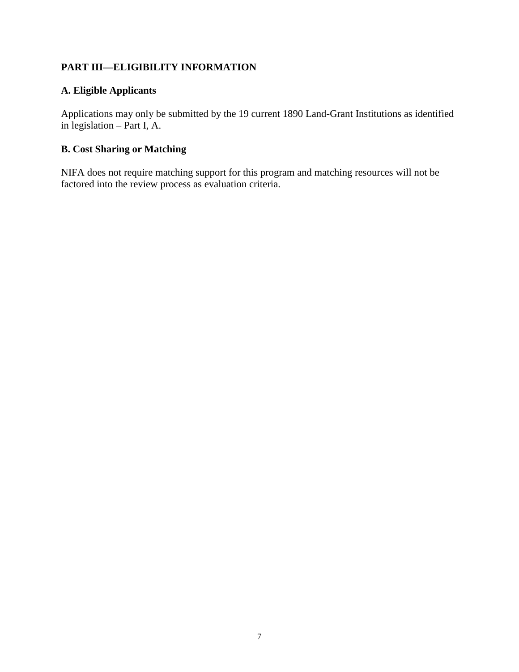# <span id="page-6-0"></span>**PART III—ELIGIBILITY INFORMATION**

# <span id="page-6-1"></span>**A. Eligible Applicants**

Applications may only be submitted by the 19 current 1890 Land-Grant Institutions as identified in legislation – Part I, A.

# <span id="page-6-2"></span>**B. Cost Sharing or Matching**

NIFA does not require matching support for this program and matching resources will not be factored into the review process as evaluation criteria.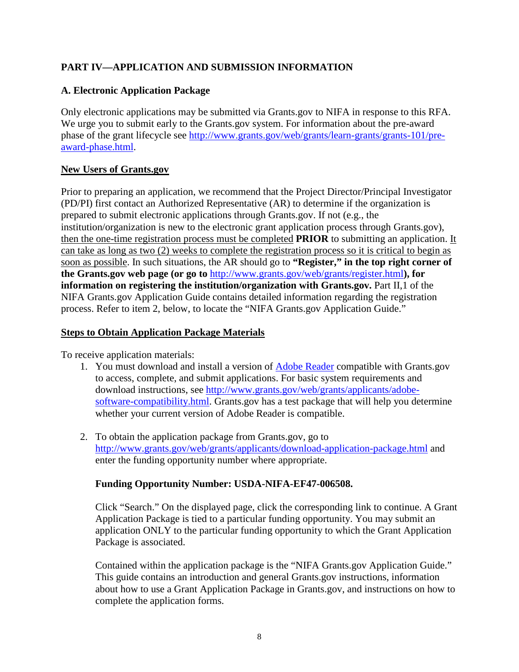# <span id="page-7-0"></span>**PART IV—APPLICATION AND SUBMISSION INFORMATION**

# <span id="page-7-1"></span>**A. Electronic Application Package**

Only electronic applications may be submitted via Grants.gov to NIFA in response to this RFA. We urge you to submit early to the Grants.gov system. For information about the pre-award phase of the grant lifecycle see [http://www.grants.gov/web/grants/learn-grants/grants-101/pre](http://www.grants.gov/web/grants/learn-grants/grants-101/pre-award-phase.html)[award-phase.html.](http://www.grants.gov/web/grants/learn-grants/grants-101/pre-award-phase.html)

# **New Users of Grants.gov**

Prior to preparing an application, we recommend that the Project Director/Principal Investigator (PD/PI) first contact an Authorized Representative (AR) to determine if the organization is prepared to submit electronic applications through Grants.gov. If not (e.g., the institution/organization is new to the electronic grant application process through Grants.gov), then the one-time registration process must be completed **PRIOR** to submitting an application. It can take as long as two (2) weeks to complete the registration process so it is critical to begin as soon as possible. In such situations, the AR should go to **"Register," in the top right corner of the Grants.gov web page (or go to** <http://www.grants.gov/web/grants/register.html>**), for information on registering the institution/organization with Grants.gov.** Part II, 1 of the NIFA Grants.gov Application Guide contains detailed information regarding the registration process. Refer to item 2, below, to locate the "NIFA Grants.gov Application Guide."

## **Steps to Obtain Application Package Materials**

To receive application materials:

- 1. You must download and install a version of [Adobe Reader](https://get.adobe.com/reader/) compatible with Grants.gov to access, complete, and submit applications. For basic system requirements and download instructions, see [http://www.grants.gov/web/grants/applicants/adobe](http://www.grants.gov/web/grants/applicants/adobe-software-compatibility.html)[software-compatibility.html.](http://www.grants.gov/web/grants/applicants/adobe-software-compatibility.html) Grants.gov has a test package that will help you determine whether your current version of Adobe Reader is compatible.
- 2. To obtain the application package from Grants.gov, go to <http://www.grants.gov/web/grants/applicants/download-application-package.html> and enter the funding opportunity number where appropriate.

# **Funding Opportunity Number: USDA-NIFA-EF47-006508.**

Click "Search." On the displayed page, click the corresponding link to continue. A Grant Application Package is tied to a particular funding opportunity. You may submit an application ONLY to the particular funding opportunity to which the Grant Application Package is associated.

Contained within the application package is the "NIFA Grants.gov Application Guide." This guide contains an introduction and general Grants.gov instructions, information about how to use a Grant Application Package in Grants.gov, and instructions on how to complete the application forms.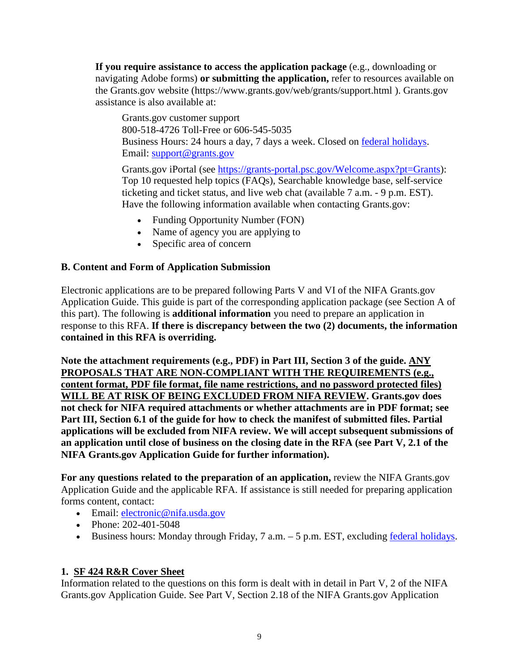**If you require assistance to access the application package** (e.g., downloading or navigating Adobe forms) **or submitting the application,** refer to resources available on the Grants.gov website (https://www.grants.gov/web/grants/support.html ). Grants.gov assistance is also available at:

Grants.gov customer support 800-518-4726 Toll-Free or 606-545-5035 Business Hours: 24 hours a day, 7 days a week. Closed on [federal holidays.](http://www.opm.gov/policy-data-oversight/snow-dismissal-procedures/federal-holidays/) Email: [support@grants.gov](mailto:support@grants.gov)

Grants.gov iPortal (see [https://grants-portal.psc.gov/Welcome.aspx?pt=Grants\)](https://grants-portal.psc.gov/Welcome.aspx?pt=Grants): Top 10 requested help topics (FAQs), Searchable knowledge base, self-service ticketing and ticket status, and live web chat (available 7 a.m. - 9 p.m. EST). Have the following information available when contacting Grants.gov:

- Funding Opportunity Number (FON)
- Name of agency you are applying to
- Specific area of concern

# <span id="page-8-0"></span>**B. Content and Form of Application Submission**

Electronic applications are to be prepared following Parts V and VI of the NIFA Grants.gov Application Guide. This guide is part of the corresponding application package (see Section A of this part). The following is **additional information** you need to prepare an application in response to this RFA. **If there is discrepancy between the two (2) documents, the information contained in this RFA is overriding.**

**Note the attachment requirements (e.g., PDF) in Part III, Section 3 of the guide. ANY PROPOSALS THAT ARE NON-COMPLIANT WITH THE REQUIREMENTS (e.g., content format, PDF file format, file name restrictions, and no password protected files) WILL BE AT RISK OF BEING EXCLUDED FROM NIFA REVIEW. Grants.gov does not check for NIFA required attachments or whether attachments are in PDF format; see Part III, Section 6.1 of the guide for how to check the manifest of submitted files. Partial applications will be excluded from NIFA review. We will accept subsequent submissions of an application until close of business on the closing date in the RFA (see Part V, 2.1 of the NIFA Grants.gov Application Guide for further information).**

**For any questions related to the preparation of an application,** review the NIFA Grants.gov Application Guide and the applicable RFA. If assistance is still needed for preparing application forms content, contact:

- Email: electronic@nifa.usda.gov
- Phone: 202-401-5048
- Business hours: Monday through Friday, 7 a.m. 5 p.m. EST, excluding [federal holidays.](https://www.opm.gov/policy-data-oversight/snow-dismissal-procedures/federal-holidays/)

# **1. SF 424 R&R Cover Sheet**

Information related to the questions on this form is dealt with in detail in Part V, 2 of the NIFA Grants.gov Application Guide. See Part V, Section 2.18 of the NIFA Grants.gov Application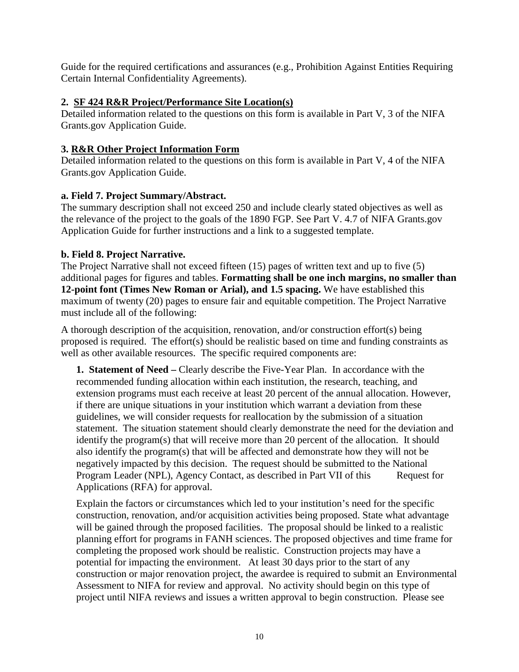Guide for the required certifications and assurances (e.g., Prohibition Against Entities Requiring Certain Internal Confidentiality Agreements).

## **2. SF 424 R&R Project/Performance Site Location(s)**

Detailed information related to the questions on this form is available in Part V, 3 of the NIFA Grants.gov Application Guide.

# **3. R&R Other Project Information Form**

Detailed information related to the questions on this form is available in Part V, 4 of the NIFA Grants.gov Application Guide.

# **a. Field 7. Project Summary/Abstract.**

The summary description shall not exceed 250 and include clearly stated objectives as well as the relevance of the project to the goals of the 1890 FGP. See Part V. 4.7 of NIFA Grants.gov Application Guide for further instructions and a link to a suggested template.

# **b. Field 8. Project Narrative.**

The Project Narrative shall not exceed fifteen (15) pages of written text and up to five (5) additional pages for figures and tables. **Formatting shall be one inch margins, no smaller than 12-point font (Times New Roman or Arial), and 1.5 spacing.** We have established this maximum of twenty (20) pages to ensure fair and equitable competition. The Project Narrative must include all of the following:

A thorough description of the acquisition, renovation, and/or construction effort(s) being proposed is required. The effort(s) should be realistic based on time and funding constraints as well as other available resources. The specific required components are:

**1. Statement of Need –** Clearly describe the Five-Year Plan. In accordance with the recommended funding allocation within each institution, the research, teaching, and extension programs must each receive at least 20 percent of the annual allocation. However, if there are unique situations in your institution which warrant a deviation from these guidelines, we will consider requests for reallocation by the submission of a situation statement. The situation statement should clearly demonstrate the need for the deviation and identify the program(s) that will receive more than 20 percent of the allocation. It should also identify the program(s) that will be affected and demonstrate how they will not be negatively impacted by this decision. The request should be submitted to the National Program Leader (NPL), Agency Contact, as described in Part VII of this Request for Applications (RFA) for approval.

Explain the factors or circumstances which led to your institution's need for the specific construction, renovation, and/or acquisition activities being proposed. State what advantage will be gained through the proposed facilities. The proposal should be linked to a realistic planning effort for programs in FANH sciences. The proposed objectives and time frame for completing the proposed work should be realistic. Construction projects may have a potential for impacting the environment. At least 30 days prior to the start of any construction or major renovation project, the awardee is required to submit an Environmental Assessment to NIFA for review and approval. No activity should begin on this type of project until NIFA reviews and issues a written approval to begin construction. Please see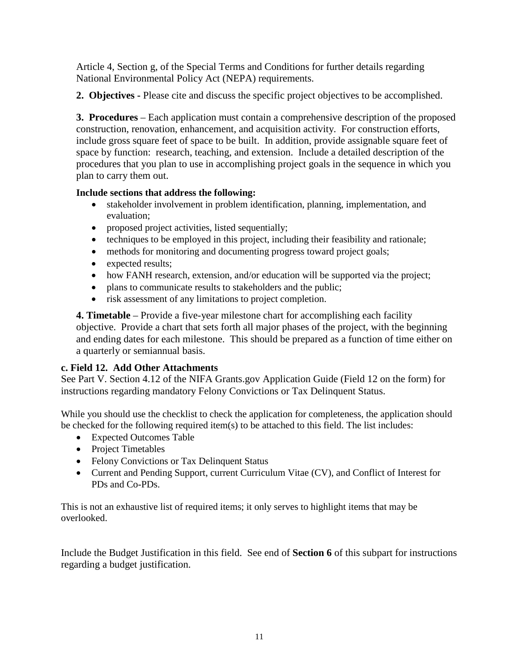Article 4, Section g, of the Special Terms and Conditions for further details regarding National Environmental Policy Act (NEPA) requirements.

**2. Objectives -** Please cite and discuss the specific project objectives to be accomplished.

**3. Procedures** – Each application must contain a comprehensive description of the proposed construction, renovation, enhancement, and acquisition activity. For construction efforts, include gross square feet of space to be built. In addition, provide assignable square feet of space by function: research, teaching, and extension. Include a detailed description of the procedures that you plan to use in accomplishing project goals in the sequence in which you plan to carry them out.

#### **Include sections that address the following:**

- stakeholder involvement in problem identification, planning, implementation, and evaluation;
- proposed project activities, listed sequentially;
- techniques to be employed in this project, including their feasibility and rationale;
- methods for monitoring and documenting progress toward project goals;
- expected results;
- how FANH research, extension, and/or education will be supported via the project;
- plans to communicate results to stakeholders and the public;
- risk assessment of any limitations to project completion.

**4. Timetable** – Provide a five-year milestone chart for accomplishing each facility objective. Provide a chart that sets forth all major phases of the project, with the beginning and ending dates for each milestone. This should be prepared as a function of time either on a quarterly or semiannual basis.

# **c. Field 12. Add Other Attachments**

See Part V. Section 4.12 of the NIFA Grants.gov Application Guide (Field 12 on the form) for instructions regarding mandatory Felony Convictions or Tax Delinquent Status.

While you should use the checklist to check the application for completeness, the application should be checked for the following required item(s) to be attached to this field. The list includes:

- Expected Outcomes Table
- Project Timetables
- Felony Convictions or Tax Delinquent Status
- Current and Pending Support, current Curriculum Vitae (CV), and Conflict of Interest for PDs and Co-PDs.

This is not an exhaustive list of required items; it only serves to highlight items that may be overlooked.

Include the Budget Justification in this field. See end of **Section 6** of this subpart for instructions regarding a budget justification.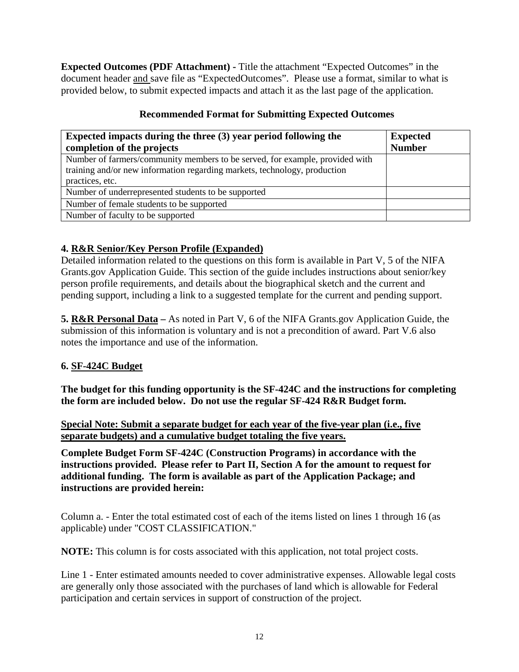**Expected Outcomes (PDF Attachment) -** Title the attachment "Expected Outcomes" in the document header and save file as "ExpectedOutcomes". Please use a format, similar to what is provided below, to submit expected impacts and attach it as the last page of the application.

| Expected impacts during the three (3) year period following the              | <b>Expected</b> |
|------------------------------------------------------------------------------|-----------------|
| completion of the projects                                                   | <b>Number</b>   |
| Number of farmers/community members to be served, for example, provided with |                 |
| training and/or new information regarding markets, technology, production    |                 |
| practices, etc.                                                              |                 |
| Number of underrepresented students to be supported                          |                 |
| Number of female students to be supported                                    |                 |
| Number of faculty to be supported                                            |                 |

# **Recommended Format for Submitting Expected Outcomes**

# **4. R&R Senior/Key Person Profile (Expanded)**

Detailed information related to the questions on this form is available in Part V, 5 of the NIFA Grants.gov Application Guide. This section of the guide includes instructions about senior/key person profile requirements, and details about the biographical sketch and the current and pending support, including a link to a suggested template for the current and pending support.

**5. R&R Personal Data –** As noted in Part V, 6 of the NIFA Grants.gov Application Guide, the submission of this information is voluntary and is not a precondition of award. Part V.6 also notes the importance and use of the information.

# **6. SF-424C Budget**

**The budget for this funding opportunity is the SF-424C and the instructions for completing the form are included below. Do not use the regular SF-424 R&R Budget form.** 

**Special Note: Submit a separate budget for each year of the five-year plan (i.e., five separate budgets) and a cumulative budget totaling the five years.**

**Complete Budget Form SF-424C (Construction Programs) in accordance with the instructions provided. Please refer to Part II, Section A for the amount to request for additional funding. The form is available as part of the Application Package; and instructions are provided herein:** 

Column a. - Enter the total estimated cost of each of the items listed on lines 1 through 16 (as applicable) under "COST CLASSIFICATION."

**NOTE:** This column is for costs associated with this application, not total project costs.

Line 1 - Enter estimated amounts needed to cover administrative expenses. Allowable legal costs are generally only those associated with the purchases of land which is allowable for Federal participation and certain services in support of construction of the project.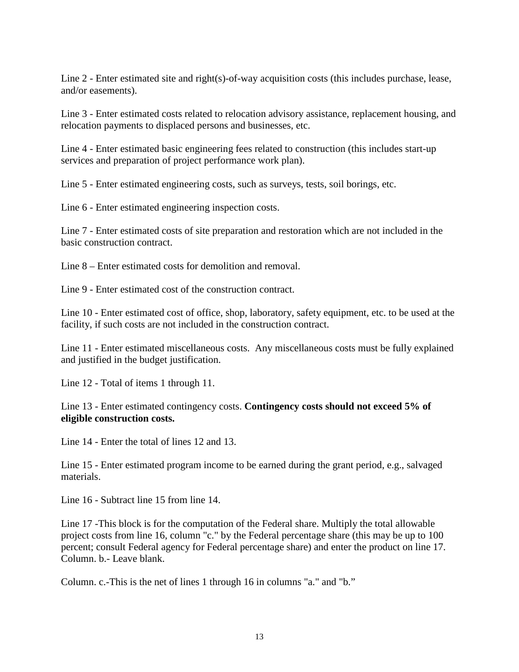Line 2 - Enter estimated site and right(s)-of-way acquisition costs (this includes purchase, lease, and/or easements).

Line 3 - Enter estimated costs related to relocation advisory assistance, replacement housing, and relocation payments to displaced persons and businesses, etc.

Line 4 - Enter estimated basic engineering fees related to construction (this includes start-up services and preparation of project performance work plan).

Line 5 - Enter estimated engineering costs, such as surveys, tests, soil borings, etc.

Line 6 - Enter estimated engineering inspection costs.

Line 7 - Enter estimated costs of site preparation and restoration which are not included in the basic construction contract.

Line 8 – Enter estimated costs for demolition and removal.

Line 9 - Enter estimated cost of the construction contract.

Line 10 - Enter estimated cost of office, shop, laboratory, safety equipment, etc. to be used at the facility, if such costs are not included in the construction contract.

Line 11 - Enter estimated miscellaneous costs. Any miscellaneous costs must be fully explained and justified in the budget justification.

Line 12 - Total of items 1 through 11.

Line 13 - Enter estimated contingency costs. **Contingency costs should not exceed 5% of eligible construction costs.** 

Line 14 - Enter the total of lines 12 and 13.

Line 15 - Enter estimated program income to be earned during the grant period, e.g., salvaged materials.

Line 16 - Subtract line 15 from line 14.

Line 17 -This block is for the computation of the Federal share. Multiply the total allowable project costs from line 16, column "c." by the Federal percentage share (this may be up to 100 percent; consult Federal agency for Federal percentage share) and enter the product on line 17. Column. b.- Leave blank.

Column. c.-This is the net of lines 1 through 16 in columns "a." and "b."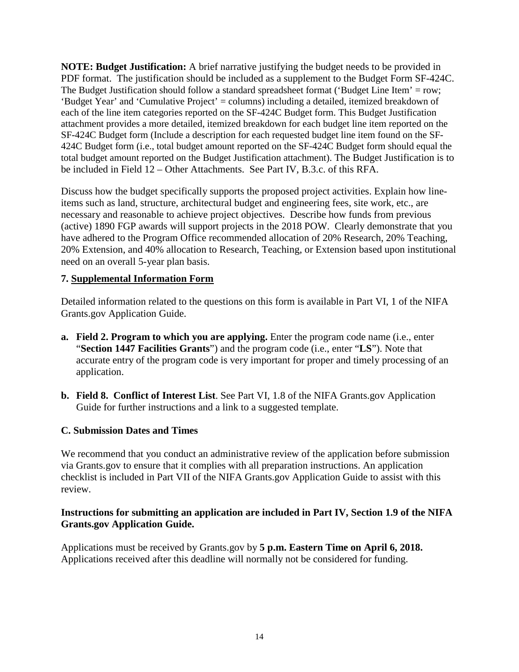**NOTE: Budget Justification:** A brief narrative justifying the budget needs to be provided in PDF format. The justification should be included as a supplement to the Budget Form SF-424C. The Budget Justification should follow a standard spreadsheet format ('Budget Line Item' = row; 'Budget Year' and 'Cumulative Project' = columns) including a detailed, itemized breakdown of each of the line item categories reported on the SF-424C Budget form. This Budget Justification attachment provides a more detailed, itemized breakdown for each budget line item reported on the SF-424C Budget form (Include a description for each requested budget line item found on the SF-424C Budget form (i.e., total budget amount reported on the SF-424C Budget form should equal the total budget amount reported on the Budget Justification attachment). The Budget Justification is to be included in Field 12 – Other Attachments. See Part IV, B.3.c. of this RFA.

Discuss how the budget specifically supports the proposed project activities. Explain how lineitems such as land, structure, architectural budget and engineering fees, site work, etc., are necessary and reasonable to achieve project objectives. Describe how funds from previous (active) 1890 FGP awards will support projects in the 2018 POW. Clearly demonstrate that you have adhered to the Program Office recommended allocation of 20% Research, 20% Teaching, 20% Extension, and 40% allocation to Research, Teaching, or Extension based upon institutional need on an overall 5-year plan basis.

#### **7. Supplemental Information Form**

Detailed information related to the questions on this form is available in Part VI, 1 of the NIFA Grants.gov Application Guide.

- **a. Field 2. Program to which you are applying.** Enter the program code name (i.e., enter "**Section 1447 Facilities Grants**") and the program code (i.e., enter "**LS**"). Note that accurate entry of the program code is very important for proper and timely processing of an application.
- **b. Field 8. Conflict of Interest List**. See Part VI, 1.8 of the NIFA Grants.gov Application Guide for further instructions and a link to a suggested template.

#### <span id="page-13-0"></span>**C. Submission Dates and Times**

We recommend that you conduct an administrative review of the application before submission via Grants.gov to ensure that it complies with all preparation instructions. An application checklist is included in Part VII of the NIFA Grants.gov Application Guide to assist with this review.

#### **Instructions for submitting an application are included in Part IV, Section 1.9 of the NIFA Grants.gov Application Guide.**

Applications must be received by Grants.gov by **5 p.m. Eastern Time on April 6, 2018.** Applications received after this deadline will normally not be considered for funding.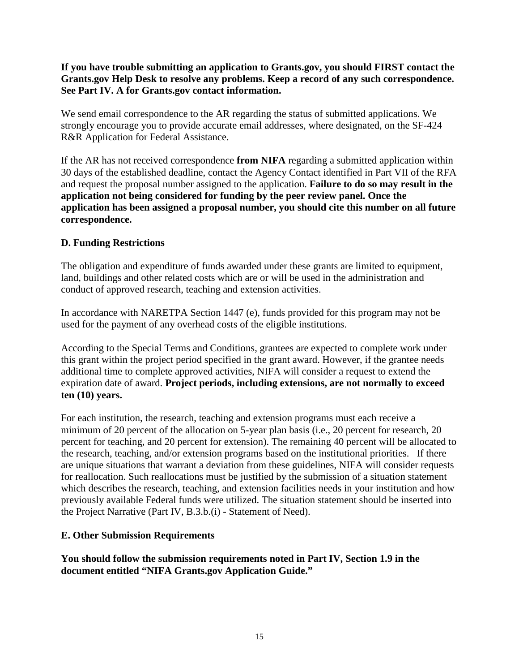**If you have trouble submitting an application to Grants.gov, you should FIRST contact the Grants.gov Help Desk to resolve any problems. Keep a record of any such correspondence. See Part IV. A for Grants.gov contact information.**

We send email correspondence to the AR regarding the status of submitted applications. We strongly encourage you to provide accurate email addresses, where designated, on the SF-424 R&R Application for Federal Assistance.

If the AR has not received correspondence **from NIFA** regarding a submitted application within 30 days of the established deadline, contact the Agency Contact identified in Part VII of the RFA and request the proposal number assigned to the application. **Failure to do so may result in the application not being considered for funding by the peer review panel. Once the application has been assigned a proposal number, you should cite this number on all future correspondence.**

# <span id="page-14-0"></span>**D. Funding Restrictions**

The obligation and expenditure of funds awarded under these grants are limited to equipment, land, buildings and other related costs which are or will be used in the administration and conduct of approved research, teaching and extension activities.

In accordance with NARETPA Section 1447 (e), funds provided for this program may not be used for the payment of any overhead costs of the eligible institutions.

According to the Special Terms and Conditions, grantees are expected to complete work under this grant within the project period specified in the grant award. However, if the grantee needs additional time to complete approved activities, NIFA will consider a request to extend the expiration date of award. **Project periods, including extensions, are not normally to exceed ten (10) years.**

For each institution, the research, teaching and extension programs must each receive a minimum of 20 percent of the allocation on 5-year plan basis (i.e., 20 percent for research, 20 percent for teaching, and 20 percent for extension). The remaining 40 percent will be allocated to the research, teaching, and/or extension programs based on the institutional priorities. If there are unique situations that warrant a deviation from these guidelines, NIFA will consider requests for reallocation. Such reallocations must be justified by the submission of a situation statement which describes the research, teaching, and extension facilities needs in your institution and how previously available Federal funds were utilized. The situation statement should be inserted into the Project Narrative (Part IV, B.3.b.(i) - Statement of Need).

# <span id="page-14-1"></span>**E. Other Submission Requirements**

**You should follow the submission requirements noted in Part IV, Section 1.9 in the document entitled "NIFA Grants.gov Application Guide."**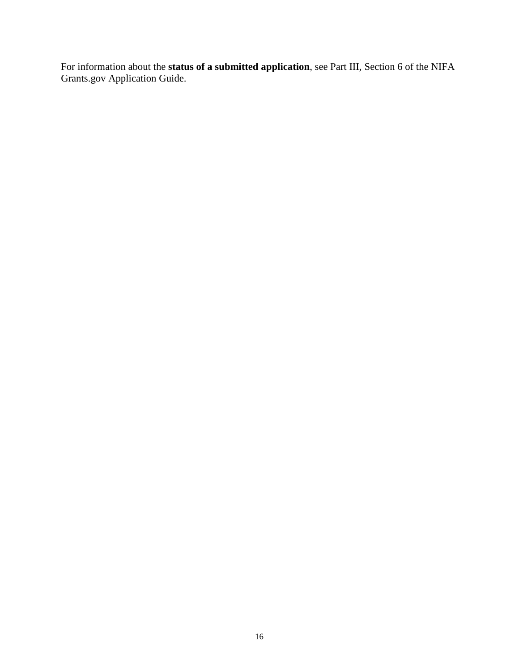For information about the **status of a submitted application**, see Part III, Section 6 of the NIFA Grants.gov Application Guide.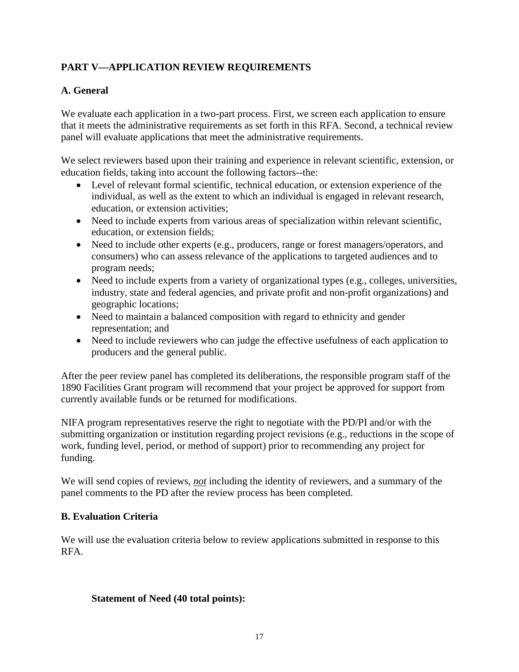# <span id="page-16-0"></span>**PART V—APPLICATION REVIEW REQUIREMENTS**

# <span id="page-16-1"></span>**A. General**

We evaluate each application in a two-part process. First, we screen each application to ensure that it meets the administrative requirements as set forth in this RFA. Second, a technical review panel will evaluate applications that meet the administrative requirements.

We select reviewers based upon their training and experience in relevant scientific, extension, or education fields, taking into account the following factors--the:

- Level of relevant formal scientific, technical education, or extension experience of the individual, as well as the extent to which an individual is engaged in relevant research, education, or extension activities;
- Need to include experts from various areas of specialization within relevant scientific, education, or extension fields;
- Need to include other experts (e.g., producers, range or forest managers/operators, and consumers) who can assess relevance of the applications to targeted audiences and to program needs;
- Need to include experts from a variety of organizational types (e.g., colleges, universities, industry, state and federal agencies, and private profit and non-profit organizations) and geographic locations;
- Need to maintain a balanced composition with regard to ethnicity and gender representation; and
- Need to include reviewers who can judge the effective usefulness of each application to producers and the general public.

After the peer review panel has completed its deliberations, the responsible program staff of the 1890 Facilities Grant program will recommend that your project be approved for support from currently available funds or be returned for modifications.

NIFA program representatives reserve the right to negotiate with the PD/PI and/or with the submitting organization or institution regarding project revisions (e.g., reductions in the scope of work, funding level, period, or method of support) prior to recommending any project for funding.

We will send copies of reviews, *not* including the identity of reviewers, and a summary of the panel comments to the PD after the review process has been completed.

# <span id="page-16-2"></span>**B. Evaluation Criteria**

We will use the evaluation criteria below to review applications submitted in response to this RFA.

# **Statement of Need (40 total points):**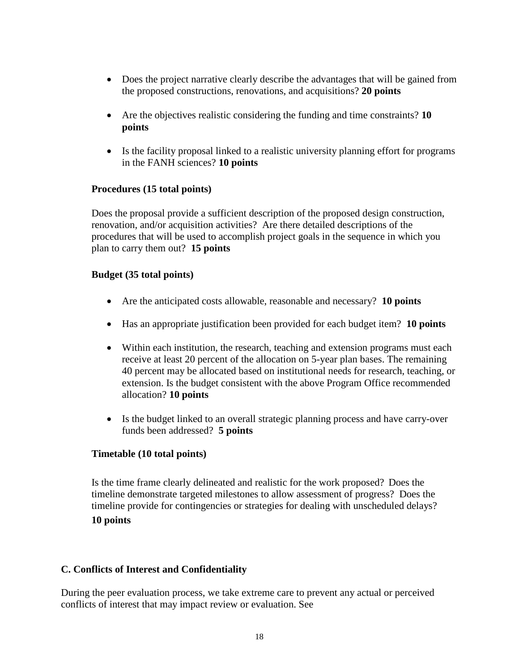- Does the project narrative clearly describe the advantages that will be gained from the proposed constructions, renovations, and acquisitions? **20 points**
- Are the objectives realistic considering the funding and time constraints? **10 points**
- Is the facility proposal linked to a realistic university planning effort for programs in the FANH sciences? **10 points**

# **Procedures (15 total points)**

Does the proposal provide a sufficient description of the proposed design construction, renovation, and/or acquisition activities? Are there detailed descriptions of the procedures that will be used to accomplish project goals in the sequence in which you plan to carry them out? **15 points**

#### **Budget (35 total points)**

- Are the anticipated costs allowable, reasonable and necessary? **10 points**
- Has an appropriate justification been provided for each budget item? **10 points**
- Within each institution, the research, teaching and extension programs must each receive at least 20 percent of the allocation on 5-year plan bases. The remaining 40 percent may be allocated based on institutional needs for research, teaching, or extension. Is the budget consistent with the above Program Office recommended allocation? **10 points**
- Is the budget linked to an overall strategic planning process and have carry-over funds been addressed? **5 points**

#### **Timetable (10 total points)**

Is the time frame clearly delineated and realistic for the work proposed? Does the timeline demonstrate targeted milestones to allow assessment of progress? Does the timeline provide for contingencies or strategies for dealing with unscheduled delays? **10 points**

# <span id="page-17-0"></span>**C. Conflicts of Interest and Confidentiality**

During the peer evaluation process, we take extreme care to prevent any actual or perceived conflicts of interest that may impact review or evaluation. See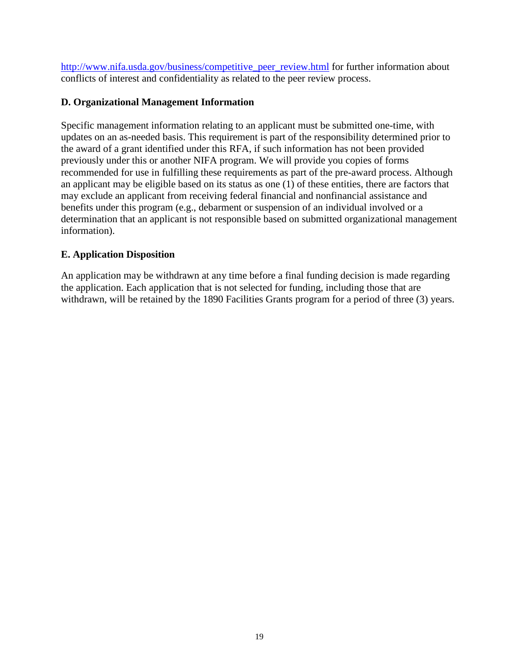http://www.nifa.usda.gov/business/competitive peer review.html for further information about conflicts of interest and confidentiality as related to the peer review process.

## <span id="page-18-0"></span>**D. Organizational Management Information**

Specific management information relating to an applicant must be submitted one-time, with updates on an as-needed basis. This requirement is part of the responsibility determined prior to the award of a grant identified under this RFA, if such information has not been provided previously under this or another NIFA program. We will provide you copies of forms recommended for use in fulfilling these requirements as part of the pre-award process. Although an applicant may be eligible based on its status as one (1) of these entities, there are factors that may exclude an applicant from receiving federal financial and nonfinancial assistance and benefits under this program (e.g., debarment or suspension of an individual involved or a determination that an applicant is not responsible based on submitted organizational management information).

# <span id="page-18-1"></span>**E. Application Disposition**

An application may be withdrawn at any time before a final funding decision is made regarding the application. Each application that is not selected for funding, including those that are withdrawn, will be retained by the 1890 Facilities Grants program for a period of three (3) years.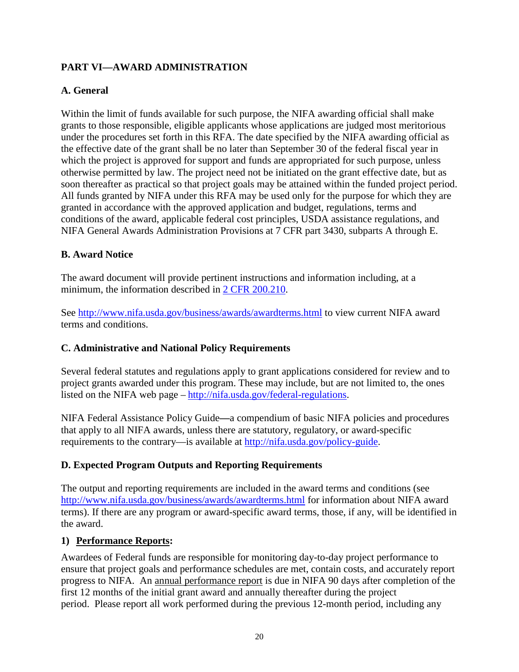# <span id="page-19-0"></span>**PART VI—AWARD ADMINISTRATION**

# <span id="page-19-1"></span>**A. General**

Within the limit of funds available for such purpose, the NIFA awarding official shall make grants to those responsible, eligible applicants whose applications are judged most meritorious under the procedures set forth in this RFA. The date specified by the NIFA awarding official as the effective date of the grant shall be no later than September 30 of the federal fiscal year in which the project is approved for support and funds are appropriated for such purpose, unless otherwise permitted by law. The project need not be initiated on the grant effective date, but as soon thereafter as practical so that project goals may be attained within the funded project period. All funds granted by NIFA under this RFA may be used only for the purpose for which they are granted in accordance with the approved application and budget, regulations, terms and conditions of the award, applicable federal cost principles, USDA assistance regulations, and NIFA General Awards Administration Provisions at 7 CFR part 3430, subparts A through E.

# <span id="page-19-2"></span>**B. Award Notice**

The award document will provide pertinent instructions and information including, at a minimum, the information described in [2 CFR 200.210.](http://www.ecfr.gov/cgi-bin/text-idx?SID=70b44cfc44976f4a7742464f7cfbb37e&mc=true&node=se2.1.200_1210&rgn=div8)

See<http://www.nifa.usda.gov/business/awards/awardterms.html> to view current NIFA award terms and conditions.

# <span id="page-19-3"></span>**C. Administrative and National Policy Requirements**

Several federal statutes and regulations apply to grant applications considered for review and to project grants awarded under this program. These may include, but are not limited to, the ones listed on the NIFA web page – [http://nifa.usda.gov/federal-regulations.](http://nifa.usda.gov/federal-regulations)

NIFA Federal Assistance Policy Guide**—**a compendium of basic NIFA policies and procedures that apply to all NIFA awards, unless there are statutory, regulatory, or award-specific requirements to the contrary—is available at [http://nifa.usda.gov/policy-guide.](http://nifa.usda.gov/policy-guide)

# <span id="page-19-4"></span>**D. Expected Program Outputs and Reporting Requirements**

The output and reporting requirements are included in the award terms and conditions (see <http://www.nifa.usda.gov/business/awards/awardterms.html> for information about NIFA award terms). If there are any program or award-specific award terms, those, if any, will be identified in the award.

# **1) Performance Reports:**

Awardees of Federal funds are responsible for monitoring day-to-day project performance to ensure that project goals and performance schedules are met, contain costs, and accurately report progress to NIFA. An annual performance report is due in NIFA 90 days after completion of the first 12 months of the initial grant award and annually thereafter during the project period. Please report all work performed during the previous 12-month period, including any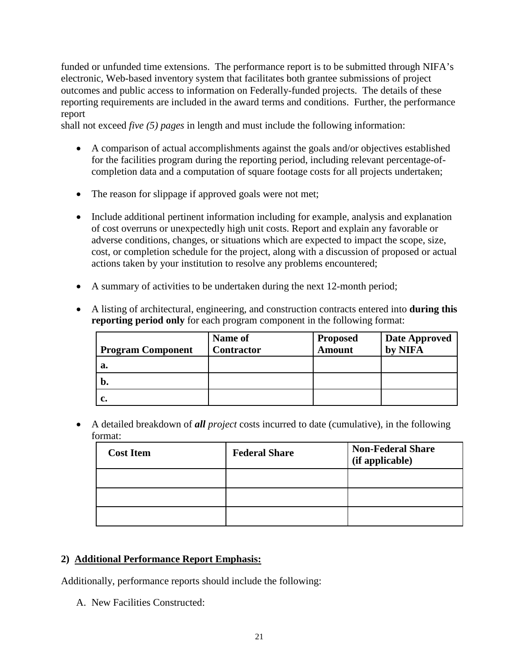funded or unfunded time extensions. The performance report is to be submitted through NIFA's electronic, Web-based inventory system that facilitates both grantee submissions of project outcomes and public access to information on Federally-funded projects. The details of these reporting requirements are included in the award terms and conditions. Further, the performance report

shall not exceed *five (5) pages* in length and must include the following information:

- A comparison of actual accomplishments against the goals and/or objectives established for the facilities program during the reporting period, including relevant percentage-ofcompletion data and a computation of square footage costs for all projects undertaken;
- The reason for slippage if approved goals were not met;
- Include additional pertinent information including for example, analysis and explanation of cost overruns or unexpectedly high unit costs. Report and explain any favorable or adverse conditions, changes, or situations which are expected to impact the scope, size, cost, or completion schedule for the project, along with a discussion of proposed or actual actions taken by your institution to resolve any problems encountered;
- A summary of activities to be undertaken during the next 12-month period;
- A listing of architectural, engineering, and construction contracts entered into **during this reporting period only** for each program component in the following format:

|                          | <b>Name of</b>    | <b>Proposed</b> | <b>Date Approved</b> |
|--------------------------|-------------------|-----------------|----------------------|
| <b>Program Component</b> | <b>Contractor</b> | <b>Amount</b>   | by NIFA              |
| a.                       |                   |                 |                      |
| $\mathbf b$ .            |                   |                 |                      |
|                          |                   |                 |                      |

• A detailed breakdown of *all project* costs incurred to date (cumulative), in the following format:

| <b>Cost Item</b> | <b>Federal Share</b> | <b>Non-Federal Share</b><br>(if applicable) |
|------------------|----------------------|---------------------------------------------|
|                  |                      |                                             |
|                  |                      |                                             |
|                  |                      |                                             |

# **2) Additional Performance Report Emphasis:**

Additionally, performance reports should include the following:

A. New Facilities Constructed: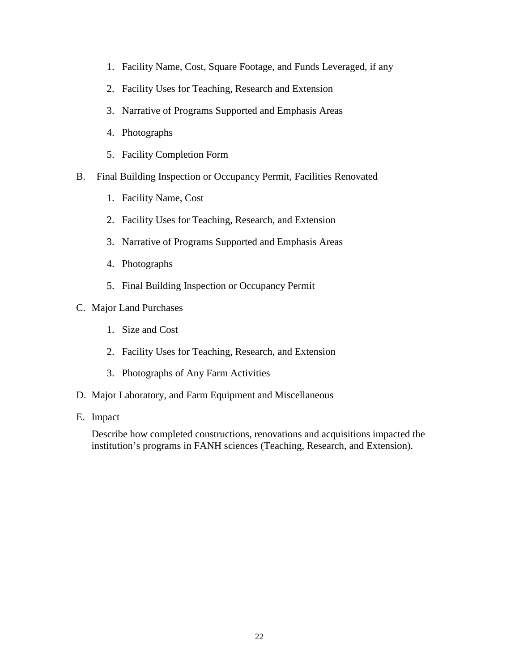- 1. Facility Name, Cost, Square Footage, and Funds Leveraged, if any
- 2. Facility Uses for Teaching, Research and Extension
- 3. Narrative of Programs Supported and Emphasis Areas
- 4. Photographs
- 5. Facility Completion Form
- B. Final Building Inspection or Occupancy Permit, Facilities Renovated
	- 1. Facility Name, Cost
	- 2. Facility Uses for Teaching, Research, and Extension
	- 3. Narrative of Programs Supported and Emphasis Areas
	- 4. Photographs
	- 5. Final Building Inspection or Occupancy Permit
- C. Major Land Purchases
	- 1. Size and Cost
	- 2. Facility Uses for Teaching, Research, and Extension
	- 3. Photographs of Any Farm Activities
- D. Major Laboratory, and Farm Equipment and Miscellaneous
- E. Impact

<span id="page-21-0"></span>Describe how completed constructions, renovations and acquisitions impacted the institution's programs in FANH sciences (Teaching, Research, and Extension).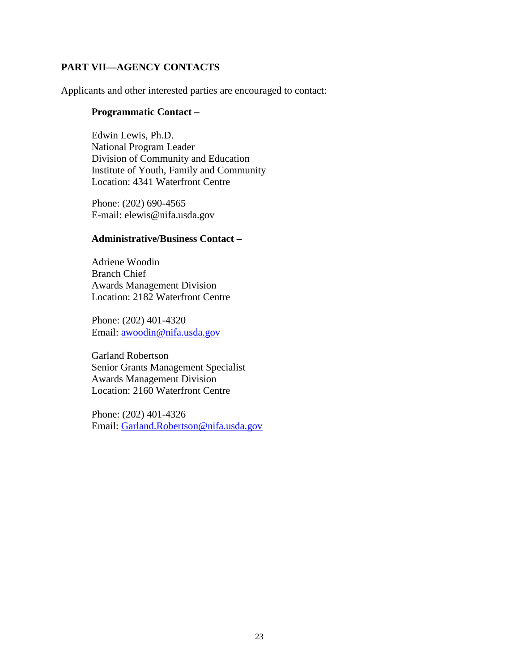# **PART VII—AGENCY CONTACTS**

Applicants and other interested parties are encouraged to contact:

#### **Programmatic Contact –**

Edwin Lewis, Ph.D. National Program Leader Division of Community and Education Institute of Youth, Family and Community Location: 4341 Waterfront Centre

Phone: (202) 690-4565 E-mail: [elewis@nifa.usda.gov](mailto:elewis@nifa.usda.gov)

#### **Administrative/Business Contact –**

Adriene Woodin Branch Chief Awards Management Division Location: 2182 Waterfront Centre

Phone: (202) 401-4320 Email: [awoodin@nifa.usda.gov](mailto:awoodin@nifa.usda.gov)

Garland Robertson Senior Grants Management Specialist Awards Management Division Location: 2160 Waterfront Centre

Phone: (202) 401-4326 Email: [Garland.Robertson@nifa.usda.gov](mailto:Garland.Robertson@nifa.usda.gov)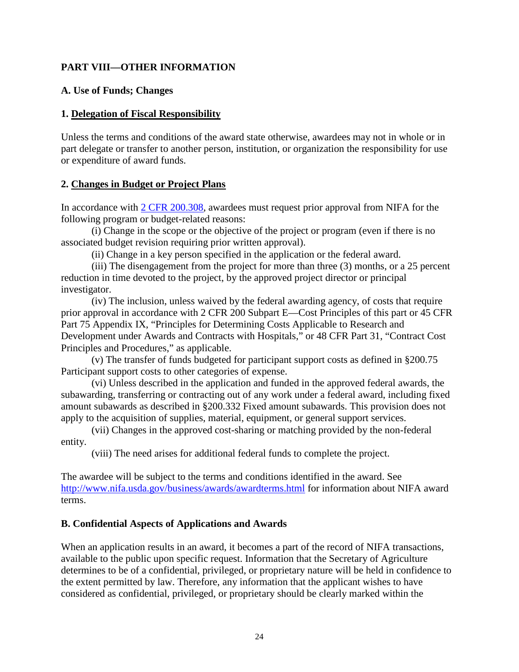# <span id="page-23-0"></span>**PART VIII—OTHER INFORMATION**

#### <span id="page-23-1"></span>**A. Use of Funds; Changes**

#### **1. Delegation of Fiscal Responsibility**

Unless the terms and conditions of the award state otherwise, awardees may not in whole or in part delegate or transfer to another person, institution, or organization the responsibility for use or expenditure of award funds.

#### **2. Changes in Budget or Project Plans**

In accordance with [2 CFR 200.308,](http://www.ecfr.gov/cgi-bin/text-idx?SID=3af89506559b05297e7d0334cb283e24&mc=true&node=se2.1.200_1308&rgn=div8) awardees must request prior approval from NIFA for the following program or budget-related reasons:

(i) Change in the scope or the objective of the project or program (even if there is no associated budget revision requiring prior written approval).

(ii) Change in a key person specified in the application or the federal award.

(iii) The disengagement from the project for more than three (3) months, or a 25 percent reduction in time devoted to the project, by the approved project director or principal investigator.

(iv) The inclusion, unless waived by the federal awarding agency, of costs that require prior approval in accordance with 2 CFR 200 Subpart E—Cost Principles of this part or 45 CFR Part 75 Appendix IX, "Principles for Determining Costs Applicable to Research and Development under Awards and Contracts with Hospitals," or 48 CFR Part 31, "Contract Cost Principles and Procedures," as applicable.

(v) The transfer of funds budgeted for participant support costs as defined in §200.75 Participant support costs to other categories of expense.

(vi) Unless described in the application and funded in the approved federal awards, the subawarding, transferring or contracting out of any work under a federal award, including fixed amount subawards as described in §200.332 Fixed amount subawards. This provision does not apply to the acquisition of supplies, material, equipment, or general support services.

(vii) Changes in the approved cost-sharing or matching provided by the non-federal entity.

(viii) The need arises for additional federal funds to complete the project.

The awardee will be subject to the terms and conditions identified in the award. See <http://www.nifa.usda.gov/business/awards/awardterms.html> for information about NIFA award terms.

# <span id="page-23-2"></span>**B. Confidential Aspects of Applications and Awards**

When an application results in an award, it becomes a part of the record of NIFA transactions, available to the public upon specific request. Information that the Secretary of Agriculture determines to be of a confidential, privileged, or proprietary nature will be held in confidence to the extent permitted by law. Therefore, any information that the applicant wishes to have considered as confidential, privileged, or proprietary should be clearly marked within the